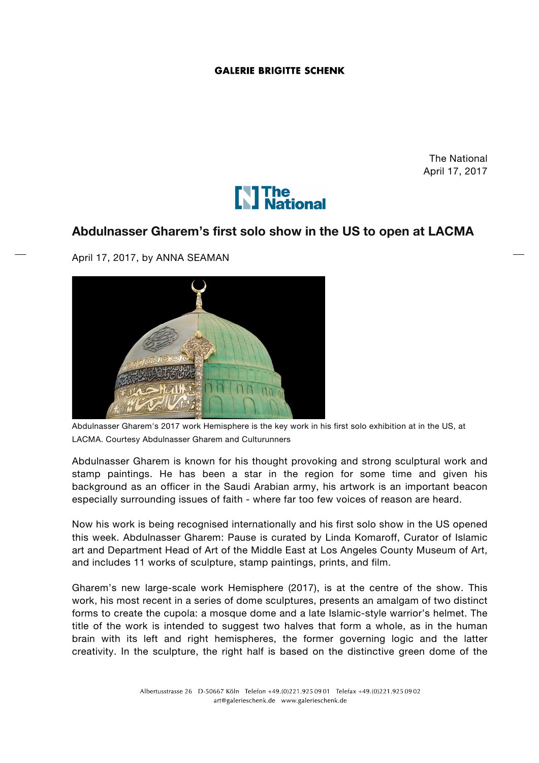## **GALERIE BRIGITTE SCHENK**

The National April 17, 2017



## **Abdulnasser Gharem's first solo show in the US to open at LACMA**

April 17, 2017, by ANNA SEAMAN



Abdulnasser Gharem's 2017 work Hemisphere is the key work in his first solo exhibition at in the US, at LACMA. Courtesy Abdulnasser Gharem and Culturunners

Abdulnasser Gharem is known for his thought provoking and strong sculptural work and stamp paintings. He has been a star in the region for some time and given his background as an officer in the Saudi Arabian army, his artwork is an important beacon especially surrounding issues of faith - where far too few voices of reason are heard.

Now his work is being recognised internationally and his first solo show in the US opened this week. Abdulnasser Gharem: Pause is curated by Linda Komaroff, Curator of Islamic art and Department Head of Art of the Middle East at Los Angeles County Museum of Art, and includes 11 works of sculpture, stamp paintings, prints, and film.

Gharem's new large-scale work Hemisphere (2017), is at the centre of the show. This work, his most recent in a series of dome sculptures, presents an amalgam of two distinct forms to create the cupola: a mosque dome and a late Islamic-style warrior's helmet. The title of the work is intended to suggest two halves that form a whole, as in the human brain with its left and right hemispheres, the former governing logic and the latter creativity. In the sculpture, the right half is based on the distinctive green dome of the